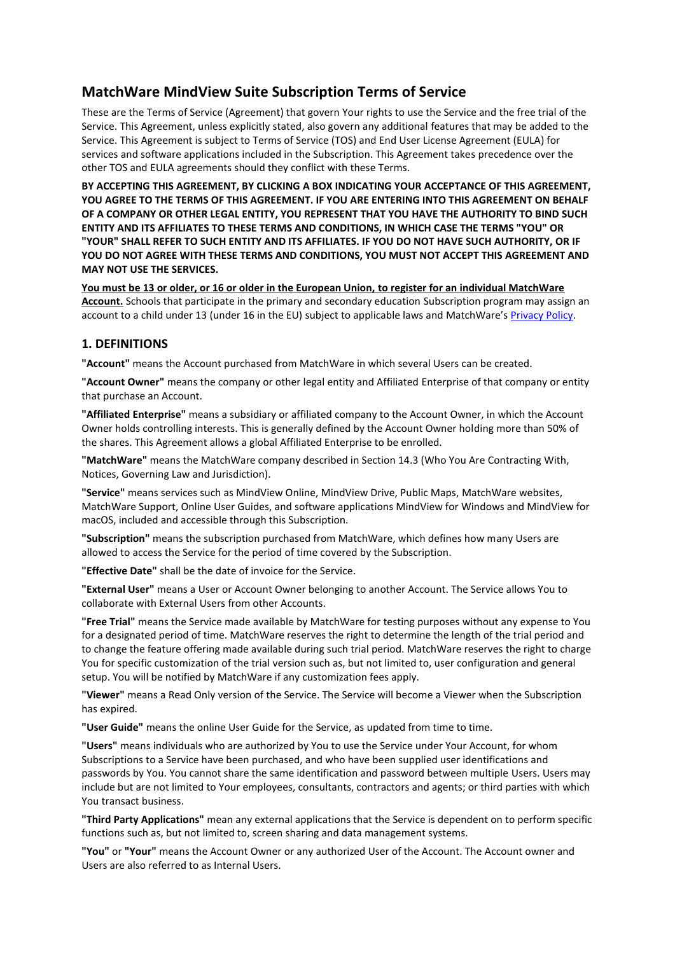# **MatchWare MindView Suite Subscription Terms of Service**

These are the Terms of Service (Agreement) that govern Your rights to use the Service and the free trial of the Service. This Agreement, unless explicitly stated, also govern any additional features that may be added to the Service. This Agreement is subject to Terms of Service (TOS) and End User License Agreement (EULA) for services and software applications included in the Subscription. This Agreement takes precedence over the other TOS and EULA agreements should they conflict with these Terms.

**BY ACCEPTING THIS AGREEMENT, BY CLICKING A BOX INDICATING YOUR ACCEPTANCE OF THIS AGREEMENT, YOU AGREE TO THE TERMS OF THIS AGREEMENT. IF YOU ARE ENTERING INTO THIS AGREEMENT ON BEHALF OF A COMPANY OR OTHER LEGAL ENTITY, YOU REPRESENT THAT YOU HAVE THE AUTHORITY TO BIND SUCH ENTITY AND ITS AFFILIATES TO THESE TERMS AND CONDITIONS, IN WHICH CASE THE TERMS "YOU" OR "YOUR" SHALL REFER TO SUCH ENTITY AND ITS AFFILIATES. IF YOU DO NOT HAVE SUCH AUTHORITY, OR IF YOU DO NOT AGREE WITH THESE TERMS AND CONDITIONS, YOU MUST NOT ACCEPT THIS AGREEMENT AND MAY NOT USE THE SERVICES.**

**You must be 13 or older, or 16 or older in the European Union, to register for an individual MatchWare Account.** Schools that participate in the primary and secondary education Subscription program may assign an account to a child under 13 (under 16 in the EU) subject to applicable laws and MatchWare's [Privacy Policy.](https://link.matchware.com/privacy_policy)

# **1. DEFINITIONS**

**"Account"** means the Account purchased from MatchWare in which several Users can be created.

**"Account Owner"** means the company or other legal entity and Affiliated Enterprise of that company or entity that purchase an Account.

**"Affiliated Enterprise"** means a subsidiary or affiliated company to the Account Owner, in which the Account Owner holds controlling interests. This is generally defined by the Account Owner holding more than 50% of the shares. This Agreement allows a global Affiliated Enterprise to be enrolled.

**"MatchWare"** means the MatchWare company described in Section 14.3 (Who You Are Contracting With, Notices, Governing Law and Jurisdiction).

**"Service"** means services such as MindView Online, MindView Drive, Public Maps, MatchWare websites, MatchWare Support, Online User Guides, and software applications MindView for Windows and MindView for macOS, included and accessible through this Subscription.

**"Subscription"** means the subscription purchased from MatchWare, which defines how many Users are allowed to access the Service for the period of time covered by the Subscription.

**"Effective Date"** shall be the date of invoice for the Service.

**"External User"** means a User or Account Owner belonging to another Account. The Service allows You to collaborate with External Users from other Accounts.

**"Free Trial"** means the Service made available by MatchWare for testing purposes without any expense to You for a designated period of time. MatchWare reserves the right to determine the length of the trial period and to change the feature offering made available during such trial period. MatchWare reserves the right to charge You for specific customization of the trial version such as, but not limited to, user configuration and general setup. You will be notified by MatchWare if any customization fees apply.

**"Viewer"** means a Read Only version of the Service. The Service will become a Viewer when the Subscription has expired.

**"User Guide"** means the online User Guide for the Service, as updated from time to time.

**"Users"** means individuals who are authorized by You to use the Service under Your Account, for whom Subscriptions to a Service have been purchased, and who have been supplied user identifications and passwords by You. You cannot share the same identification and password between multiple Users. Users may include but are not limited to Your employees, consultants, contractors and agents; or third parties with which You transact business.

**"Third Party Applications"** mean any external applications that the Service is dependent on to perform specific functions such as, but not limited to, screen sharing and data management systems.

**"You"** or **"Your"** means the Account Owner or any authorized User of the Account. The Account owner and Users are also referred to as Internal Users.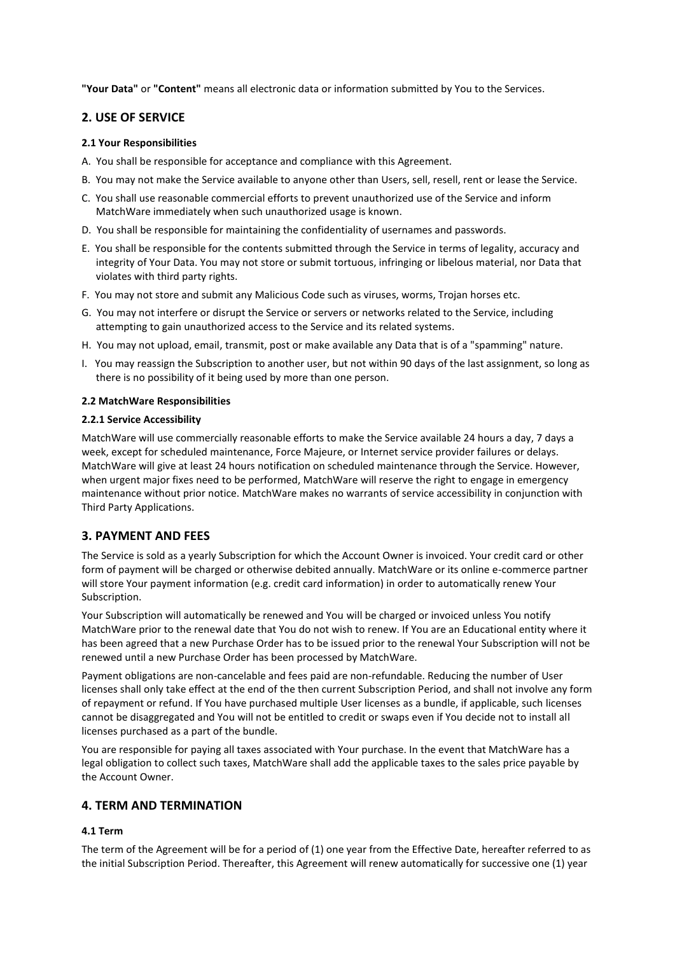**"Your Data"** or **"Content"** means all electronic data or information submitted by You to the Services.

### **2. USE OF SERVICE**

### **2.1 Your Responsibilities**

- A. You shall be responsible for acceptance and compliance with this Agreement.
- B. You may not make the Service available to anyone other than Users, sell, resell, rent or lease the Service.
- C. You shall use reasonable commercial efforts to prevent unauthorized use of the Service and inform MatchWare immediately when such unauthorized usage is known.
- D. You shall be responsible for maintaining the confidentiality of usernames and passwords.
- E. You shall be responsible for the contents submitted through the Service in terms of legality, accuracy and integrity of Your Data. You may not store or submit tortuous, infringing or libelous material, nor Data that violates with third party rights.
- F. You may not store and submit any Malicious Code such as viruses, worms, Trojan horses etc.
- G. You may not interfere or disrupt the Service or servers or networks related to the Service, including attempting to gain unauthorized access to the Service and its related systems.
- H. You may not upload, email, transmit, post or make available any Data that is of a "spamming" nature.
- I. You may reassign the Subscription to another user, but not within 90 days of the last assignment, so long as there is no possibility of it being used by more than one person.

### **2.2 MatchWare Responsibilities**

### **2.2.1 Service Accessibility**

MatchWare will use commercially reasonable efforts to make the Service available 24 hours a day, 7 days a week, except for scheduled maintenance, Force Majeure, or Internet service provider failures or delays. MatchWare will give at least 24 hours notification on scheduled maintenance through the Service. However, when urgent major fixes need to be performed, MatchWare will reserve the right to engage in emergency maintenance without prior notice. MatchWare makes no warrants of service accessibility in conjunction with Third Party Applications.

# **3. PAYMENT AND FEES**

The Service is sold as a yearly Subscription for which the Account Owner is invoiced. Your credit card or other form of payment will be charged or otherwise debited annually. MatchWare or its online e-commerce partner will store Your payment information (e.g. credit card information) in order to automatically renew Your Subscription.

Your Subscription will automatically be renewed and You will be charged or invoiced unless You notify MatchWare prior to the renewal date that You do not wish to renew. If You are an Educational entity where it has been agreed that a new Purchase Order has to be issued prior to the renewal Your Subscription will not be renewed until a new Purchase Order has been processed by MatchWare.

Payment obligations are non-cancelable and fees paid are non-refundable. Reducing the number of User licenses shall only take effect at the end of the then current Subscription Period, and shall not involve any form of repayment or refund. If You have purchased multiple User licenses as a bundle, if applicable, such licenses cannot be disaggregated and You will not be entitled to credit or swaps even if You decide not to install all licenses purchased as a part of the bundle.

You are responsible for paying all taxes associated with Your purchase. In the event that MatchWare has a legal obligation to collect such taxes, MatchWare shall add the applicable taxes to the sales price payable by the Account Owner.

# **4. TERM AND TERMINATION**

### **4.1 Term**

The term of the Agreement will be for a period of (1) one year from the Effective Date, hereafter referred to as the initial Subscription Period. Thereafter, this Agreement will renew automatically for successive one (1) year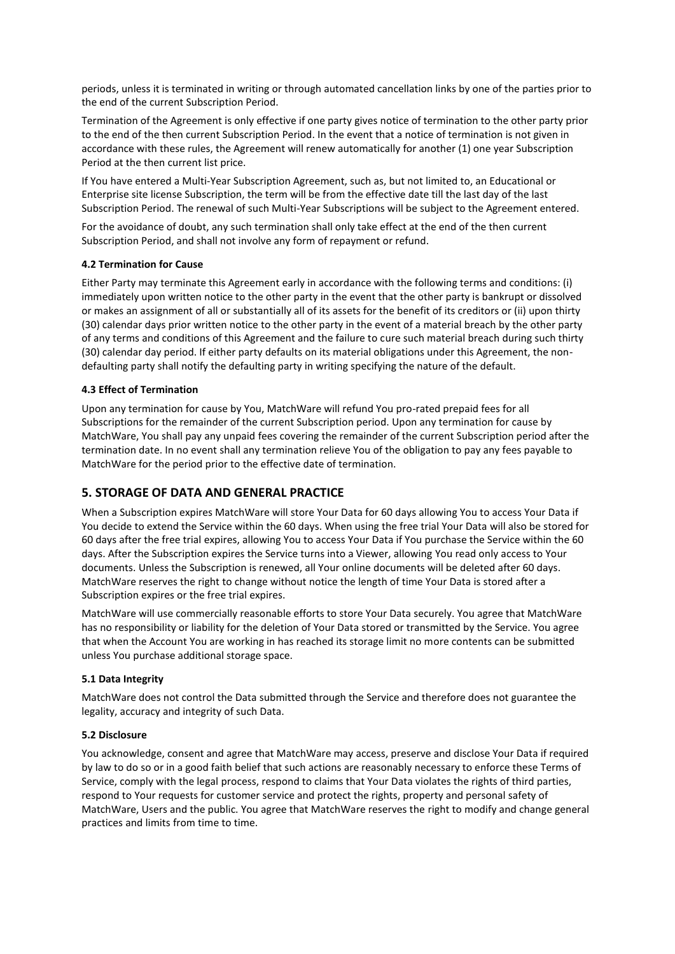periods, unless it is terminated in writing or through automated cancellation links by one of the parties prior to the end of the current Subscription Period.

Termination of the Agreement is only effective if one party gives notice of termination to the other party prior to the end of the then current Subscription Period. In the event that a notice of termination is not given in accordance with these rules, the Agreement will renew automatically for another (1) one year Subscription Period at the then current list price.

If You have entered a Multi-Year Subscription Agreement, such as, but not limited to, an Educational or Enterprise site license Subscription, the term will be from the effective date till the last day of the last Subscription Period. The renewal of such Multi-Year Subscriptions will be subject to the Agreement entered.

For the avoidance of doubt, any such termination shall only take effect at the end of the then current Subscription Period, and shall not involve any form of repayment or refund.

### **4.2 Termination for Cause**

Either Party may terminate this Agreement early in accordance with the following terms and conditions: (i) immediately upon written notice to the other party in the event that the other party is bankrupt or dissolved or makes an assignment of all or substantially all of its assets for the benefit of its creditors or (ii) upon thirty (30) calendar days prior written notice to the other party in the event of a material breach by the other party of any terms and conditions of this Agreement and the failure to cure such material breach during such thirty (30) calendar day period. If either party defaults on its material obligations under this Agreement, the nondefaulting party shall notify the defaulting party in writing specifying the nature of the default.

### **4.3 Effect of Termination**

Upon any termination for cause by You, MatchWare will refund You pro-rated prepaid fees for all Subscriptions for the remainder of the current Subscription period. Upon any termination for cause by MatchWare, You shall pay any unpaid fees covering the remainder of the current Subscription period after the termination date. In no event shall any termination relieve You of the obligation to pay any fees payable to MatchWare for the period prior to the effective date of termination.

# **5. STORAGE OF DATA AND GENERAL PRACTICE**

When a Subscription expires MatchWare will store Your Data for 60 days allowing You to access Your Data if You decide to extend the Service within the 60 days. When using the free trial Your Data will also be stored for 60 days after the free trial expires, allowing You to access Your Data if You purchase the Service within the 60 days. After the Subscription expires the Service turns into a Viewer, allowing You read only access to Your documents. Unless the Subscription is renewed, all Your online documents will be deleted after 60 days. MatchWare reserves the right to change without notice the length of time Your Data is stored after a Subscription expires or the free trial expires.

MatchWare will use commercially reasonable efforts to store Your Data securely. You agree that MatchWare has no responsibility or liability for the deletion of Your Data stored or transmitted by the Service. You agree that when the Account You are working in has reached its storage limit no more contents can be submitted unless You purchase additional storage space.

### **5.1 Data Integrity**

MatchWare does not control the Data submitted through the Service and therefore does not guarantee the legality, accuracy and integrity of such Data.

### **5.2 Disclosure**

You acknowledge, consent and agree that MatchWare may access, preserve and disclose Your Data if required by law to do so or in a good faith belief that such actions are reasonably necessary to enforce these Terms of Service, comply with the legal process, respond to claims that Your Data violates the rights of third parties, respond to Your requests for customer service and protect the rights, property and personal safety of MatchWare, Users and the public. You agree that MatchWare reserves the right to modify and change general practices and limits from time to time.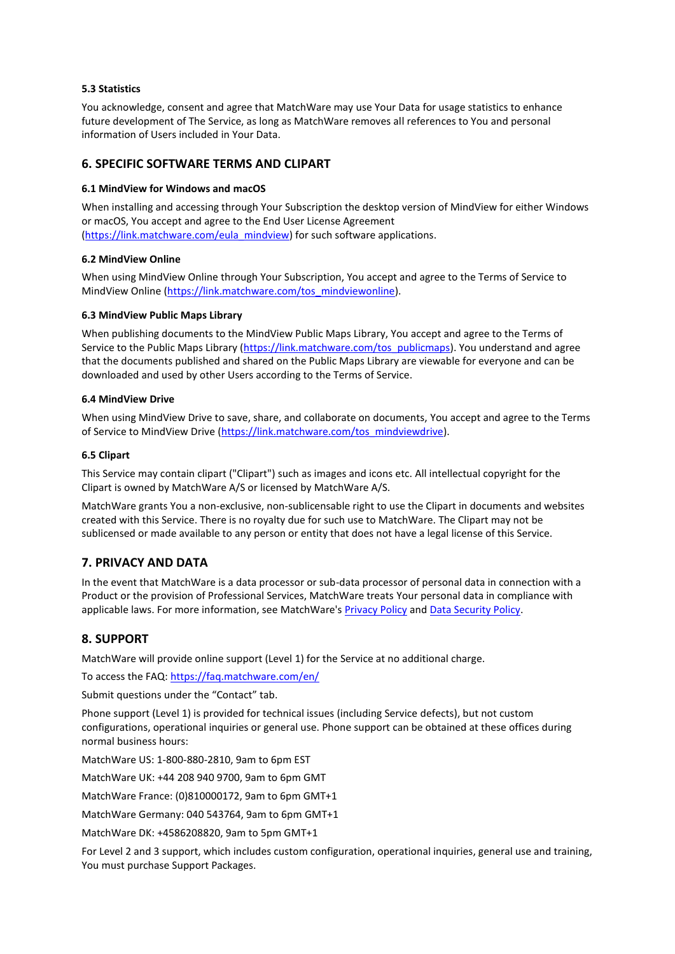### **5.3 Statistics**

You acknowledge, consent and agree that MatchWare may use Your Data for usage statistics to enhance future development of The Service, as long as MatchWare removes all references to You and personal information of Users included in Your Data.

### **6. SPECIFIC SOFTWARE TERMS AND CLIPART**

### **6.1 MindView for Windows and macOS**

When installing and accessing through Your Subscription the desktop version of MindView for either Windows or macOS, You accept and agree to the End User License Agreement [\(https://link.matchware.com/eula\\_mindview\)](https://link.matchware.com/eula_mindview) for such software applications.

### **6.2 MindView Online**

When using MindView Online through Your Subscription, You accept and agree to the Terms of Service to MindView Online [\(https://link.matchware.com/tos\\_mindviewonline\)](https://link.matchware.com/tos_mindviewonline).

### **6.3 MindView Public Maps Library**

When publishing documents to the MindView Public Maps Library, You accept and agree to the Terms of Service to the Public Maps Library [\(https://link.matchware.com/tos\\_publicmaps\)](https://link.matchware.com/tos_publicmaps). You understand and agree that the documents published and shared on the Public Maps Library are viewable for everyone and can be downloaded and used by other Users according to the Terms of Service.

### **6.4 MindView Drive**

When using MindView Drive to save, share, and collaborate on documents, You accept and agree to the Terms of Service to MindView Drive [\(https://link.matchware.com/tos\\_mindviewdrive\)](https://link.matchware.com/tos_mindviewdrive).

### **6.5 Clipart**

This Service may contain clipart ("Clipart") such as images and icons etc. All intellectual copyright for the Clipart is owned by MatchWare A/S or licensed by MatchWare A/S.

MatchWare grants You a non-exclusive, non-sublicensable right to use the Clipart in documents and websites created with this Service. There is no royalty due for such use to MatchWare. The Clipart may not be sublicensed or made available to any person or entity that does not have a legal license of this Service.

### **7. PRIVACY AND DATA**

In the event that MatchWare is a data processor or sub-data processor of personal data in connection with a Product or the provision of Professional Services, MatchWare treats Your personal data in compliance with applicable laws. For more information, see MatchWare's [Privacy Policy](https://link.matchware.com/privacy_policy) and [Data Security Policy.](https://link.matchware.com/data_security_policy)

### **8. SUPPORT**

MatchWare will provide online support (Level 1) for the Service at no additional charge.

To access the FAQ: <https://faq.matchware.com/en/>

Submit questions under the "Contact" tab.

Phone support (Level 1) is provided for technical issues (including Service defects), but not custom configurations, operational inquiries or general use. Phone support can be obtained at these offices during normal business hours:

MatchWare US: 1-800-880-2810, 9am to 6pm EST

MatchWare UK: +44 208 940 9700, 9am to 6pm GMT

MatchWare France: (0)810000172, 9am to 6pm GMT+1

MatchWare Germany: 040 543764, 9am to 6pm GMT+1

MatchWare DK: +4586208820, 9am to 5pm GMT+1

For Level 2 and 3 support, which includes custom configuration, operational inquiries, general use and training, You must purchase Support Packages.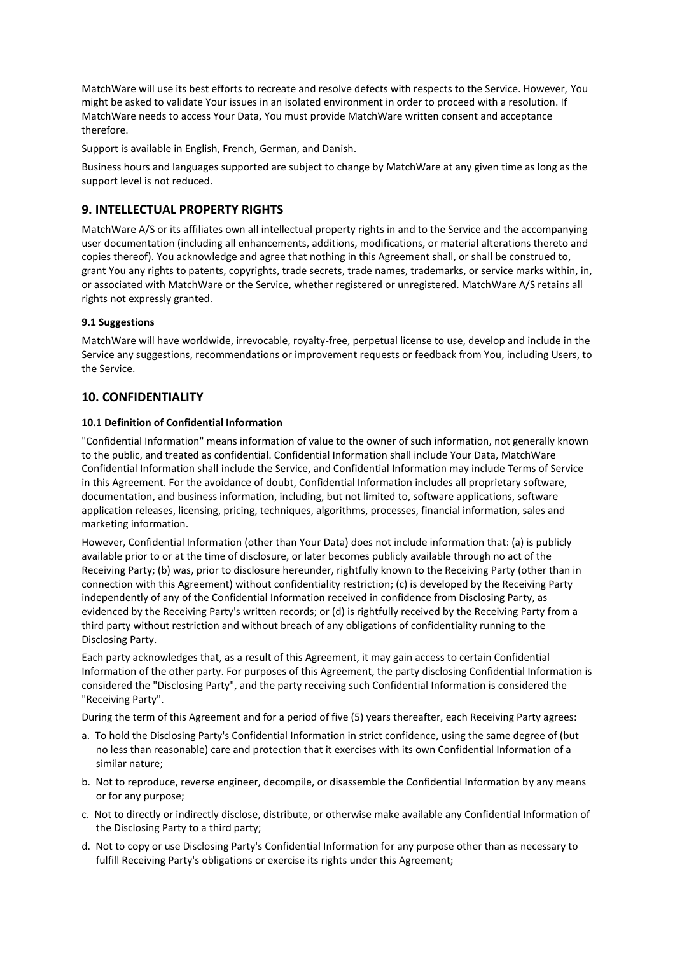MatchWare will use its best efforts to recreate and resolve defects with respects to the Service. However, You might be asked to validate Your issues in an isolated environment in order to proceed with a resolution. If MatchWare needs to access Your Data, You must provide MatchWare written consent and acceptance therefore.

Support is available in English, French, German, and Danish.

Business hours and languages supported are subject to change by MatchWare at any given time as long as the support level is not reduced.

# **9. INTELLECTUAL PROPERTY RIGHTS**

MatchWare A/S or its affiliates own all intellectual property rights in and to the Service and the accompanying user documentation (including all enhancements, additions, modifications, or material alterations thereto and copies thereof). You acknowledge and agree that nothing in this Agreement shall, or shall be construed to, grant You any rights to patents, copyrights, trade secrets, trade names, trademarks, or service marks within, in, or associated with MatchWare or the Service, whether registered or unregistered. MatchWare A/S retains all rights not expressly granted.

### **9.1 Suggestions**

MatchWare will have worldwide, irrevocable, royalty-free, perpetual license to use, develop and include in the Service any suggestions, recommendations or improvement requests or feedback from You, including Users, to the Service.

# **10. CONFIDENTIALITY**

### **10.1 Definition of Confidential Information**

"Confidential Information" means information of value to the owner of such information, not generally known to the public, and treated as confidential. Confidential Information shall include Your Data, MatchWare Confidential Information shall include the Service, and Confidential Information may include Terms of Service in this Agreement. For the avoidance of doubt, Confidential Information includes all proprietary software, documentation, and business information, including, but not limited to, software applications, software application releases, licensing, pricing, techniques, algorithms, processes, financial information, sales and marketing information.

However, Confidential Information (other than Your Data) does not include information that: (a) is publicly available prior to or at the time of disclosure, or later becomes publicly available through no act of the Receiving Party; (b) was, prior to disclosure hereunder, rightfully known to the Receiving Party (other than in connection with this Agreement) without confidentiality restriction; (c) is developed by the Receiving Party independently of any of the Confidential Information received in confidence from Disclosing Party, as evidenced by the Receiving Party's written records; or (d) is rightfully received by the Receiving Party from a third party without restriction and without breach of any obligations of confidentiality running to the Disclosing Party.

Each party acknowledges that, as a result of this Agreement, it may gain access to certain Confidential Information of the other party. For purposes of this Agreement, the party disclosing Confidential Information is considered the "Disclosing Party", and the party receiving such Confidential Information is considered the "Receiving Party".

During the term of this Agreement and for a period of five (5) years thereafter, each Receiving Party agrees:

- a. To hold the Disclosing Party's Confidential Information in strict confidence, using the same degree of (but no less than reasonable) care and protection that it exercises with its own Confidential Information of a similar nature;
- b. Not to reproduce, reverse engineer, decompile, or disassemble the Confidential Information by any means or for any purpose;
- c. Not to directly or indirectly disclose, distribute, or otherwise make available any Confidential Information of the Disclosing Party to a third party;
- d. Not to copy or use Disclosing Party's Confidential Information for any purpose other than as necessary to fulfill Receiving Party's obligations or exercise its rights under this Agreement;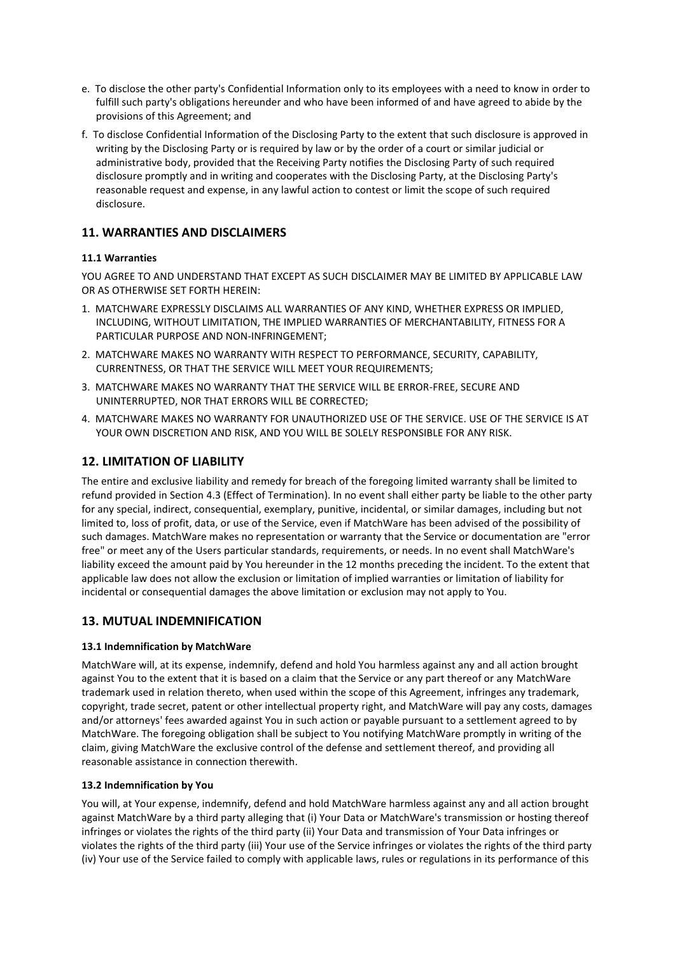- e. To disclose the other party's Confidential Information only to its employees with a need to know in order to fulfill such party's obligations hereunder and who have been informed of and have agreed to abide by the provisions of this Agreement; and
- f. To disclose Confidential Information of the Disclosing Party to the extent that such disclosure is approved in writing by the Disclosing Party or is required by law or by the order of a court or similar judicial or administrative body, provided that the Receiving Party notifies the Disclosing Party of such required disclosure promptly and in writing and cooperates with the Disclosing Party, at the Disclosing Party's reasonable request and expense, in any lawful action to contest or limit the scope of such required disclosure.

# **11. WARRANTIES AND DISCLAIMERS**

### **11.1 Warranties**

YOU AGREE TO AND UNDERSTAND THAT EXCEPT AS SUCH DISCLAIMER MAY BE LIMITED BY APPLICABLE LAW OR AS OTHERWISE SET FORTH HEREIN:

- 1. MATCHWARE EXPRESSLY DISCLAIMS ALL WARRANTIES OF ANY KIND, WHETHER EXPRESS OR IMPLIED, INCLUDING, WITHOUT LIMITATION, THE IMPLIED WARRANTIES OF MERCHANTABILITY, FITNESS FOR A PARTICULAR PURPOSE AND NON-INFRINGEMENT;
- 2. MATCHWARE MAKES NO WARRANTY WITH RESPECT TO PERFORMANCE, SECURITY, CAPABILITY, CURRENTNESS, OR THAT THE SERVICE WILL MEET YOUR REQUIREMENTS;
- 3. MATCHWARE MAKES NO WARRANTY THAT THE SERVICE WILL BE ERROR-FREE, SECURE AND UNINTERRUPTED, NOR THAT ERRORS WILL BE CORRECTED;
- 4. MATCHWARE MAKES NO WARRANTY FOR UNAUTHORIZED USE OF THE SERVICE. USE OF THE SERVICE IS AT YOUR OWN DISCRETION AND RISK, AND YOU WILL BE SOLELY RESPONSIBLE FOR ANY RISK.

# **12. LIMITATION OF LIABILITY**

The entire and exclusive liability and remedy for breach of the foregoing limited warranty shall be limited to refund provided in Section 4.3 (Effect of Termination). In no event shall either party be liable to the other party for any special, indirect, consequential, exemplary, punitive, incidental, or similar damages, including but not limited to, loss of profit, data, or use of the Service, even if MatchWare has been advised of the possibility of such damages. MatchWare makes no representation or warranty that the Service or documentation are "error free" or meet any of the Users particular standards, requirements, or needs. In no event shall MatchWare's liability exceed the amount paid by You hereunder in the 12 months preceding the incident. To the extent that applicable law does not allow the exclusion or limitation of implied warranties or limitation of liability for incidental or consequential damages the above limitation or exclusion may not apply to You.

### **13. MUTUAL INDEMNIFICATION**

### **13.1 Indemnification by MatchWare**

MatchWare will, at its expense, indemnify, defend and hold You harmless against any and all action brought against You to the extent that it is based on a claim that the Service or any part thereof or any MatchWare trademark used in relation thereto, when used within the scope of this Agreement, infringes any trademark, copyright, trade secret, patent or other intellectual property right, and MatchWare will pay any costs, damages and/or attorneys' fees awarded against You in such action or payable pursuant to a settlement agreed to by MatchWare. The foregoing obligation shall be subject to You notifying MatchWare promptly in writing of the claim, giving MatchWare the exclusive control of the defense and settlement thereof, and providing all reasonable assistance in connection therewith.

### **13.2 Indemnification by You**

You will, at Your expense, indemnify, defend and hold MatchWare harmless against any and all action brought against MatchWare by a third party alleging that (i) Your Data or MatchWare's transmission or hosting thereof infringes or violates the rights of the third party (ii) Your Data and transmission of Your Data infringes or violates the rights of the third party (iii) Your use of the Service infringes or violates the rights of the third party (iv) Your use of the Service failed to comply with applicable laws, rules or regulations in its performance of this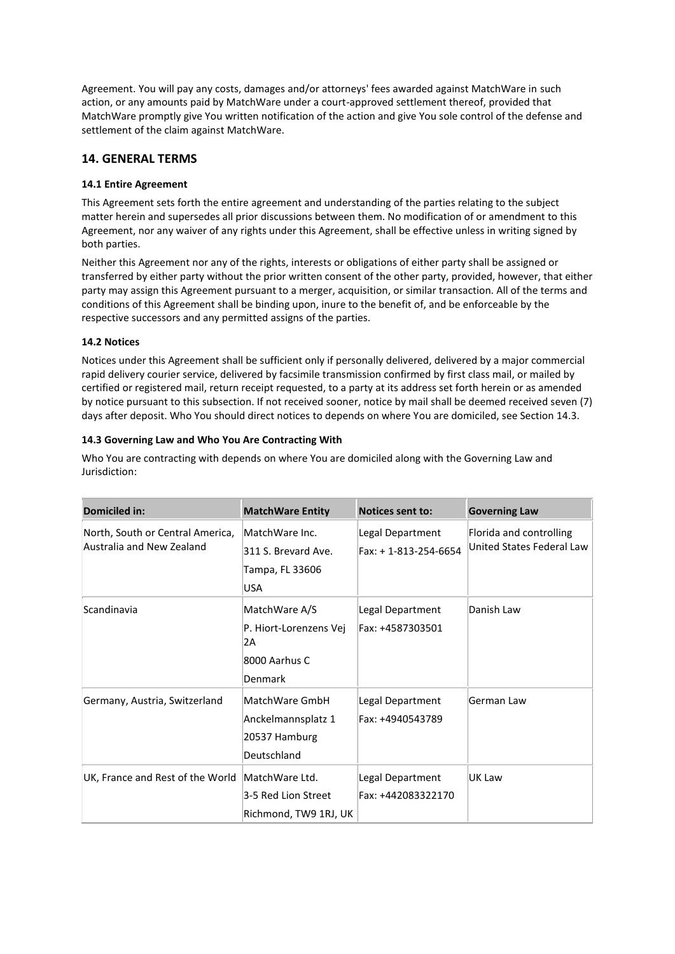Agreement. You will pay any costs, damages and/or attorneys' fees awarded against MatchWare in such action, or any amounts paid by MatchWare under a court-approved settlement thereof, provided that MatchWare promptly give You written notification of the action and give You sole control of the defense and settlement of the claim against MatchWare.

# **14. GENERAL TERMS**

### **14.1 Entire Agreement**

This Agreement sets forth the entire agreement and understanding of the parties relating to the subject matter herein and supersedes all prior discussions between them. No modification of or amendment to this Agreement, nor any waiver of any rights under this Agreement, shall be effective unless in writing signed by both parties.

Neither this Agreement nor any of the rights, interests or obligations of either party shall be assigned or transferred by either party without the prior written consent of the other party, provided, however, that either party may assign this Agreement pursuant to a merger, acquisition, or similar transaction. All of the terms and conditions of this Agreement shall be binding upon, inure to the benefit of, and be enforceable by the respective successors and any permitted assigns of the parties.

### **14.2 Notices**

Notices under this Agreement shall be sufficient only if personally delivered, delivered by a major commercial rapid delivery courier service, delivered by facsimile transmission confirmed by first class mail, or mailed by certified or registered mail, return receipt requested, to a party at its address set forth herein or as amended by notice pursuant to this subsection. If not received sooner, notice by mail shall be deemed received seven (7) days after deposit. Who You should direct notices to depends on where You are domiciled, see Section 14.3.

### **14.3 Governing Law and Who You Are Contracting With**

Who You are contracting with depends on where You are domiciled along with the Governing Law and Jurisdiction:

| Domiciled in:                                                 | <b>MatchWare Entity</b>                                                   | <b>Notices sent to:</b>                  | <b>Governing Law</b>                                 |
|---------------------------------------------------------------|---------------------------------------------------------------------------|------------------------------------------|------------------------------------------------------|
| North, South or Central America,<br>Australia and New Zealand | MatchWare Inc.<br>311 S. Brevard Ave.<br>Tampa, FL 33606<br><b>USA</b>    | Legal Department<br>Fax: +1-813-254-6654 | Florida and controlling<br>United States Federal Law |
| Scandinavia                                                   | MatchWare A/S<br>P. Hiort-Lorenzens Vej<br>2A<br>8000 Aarhus C<br>Denmark | Legal Department<br>Fax: +4587303501     | Danish Law                                           |
| Germany, Austria, Switzerland                                 | MatchWare GmbH<br>Anckelmannsplatz 1<br>20537 Hamburg<br>Deutschland      | Legal Department<br>Fax: +4940543789     | German Law                                           |
| UK, France and Rest of the World                              | MatchWare Ltd.<br>3-5 Red Lion Street<br>Richmond, TW9 1RJ, UK            | Legal Department<br>Fax: +442083322170   | UK Law                                               |